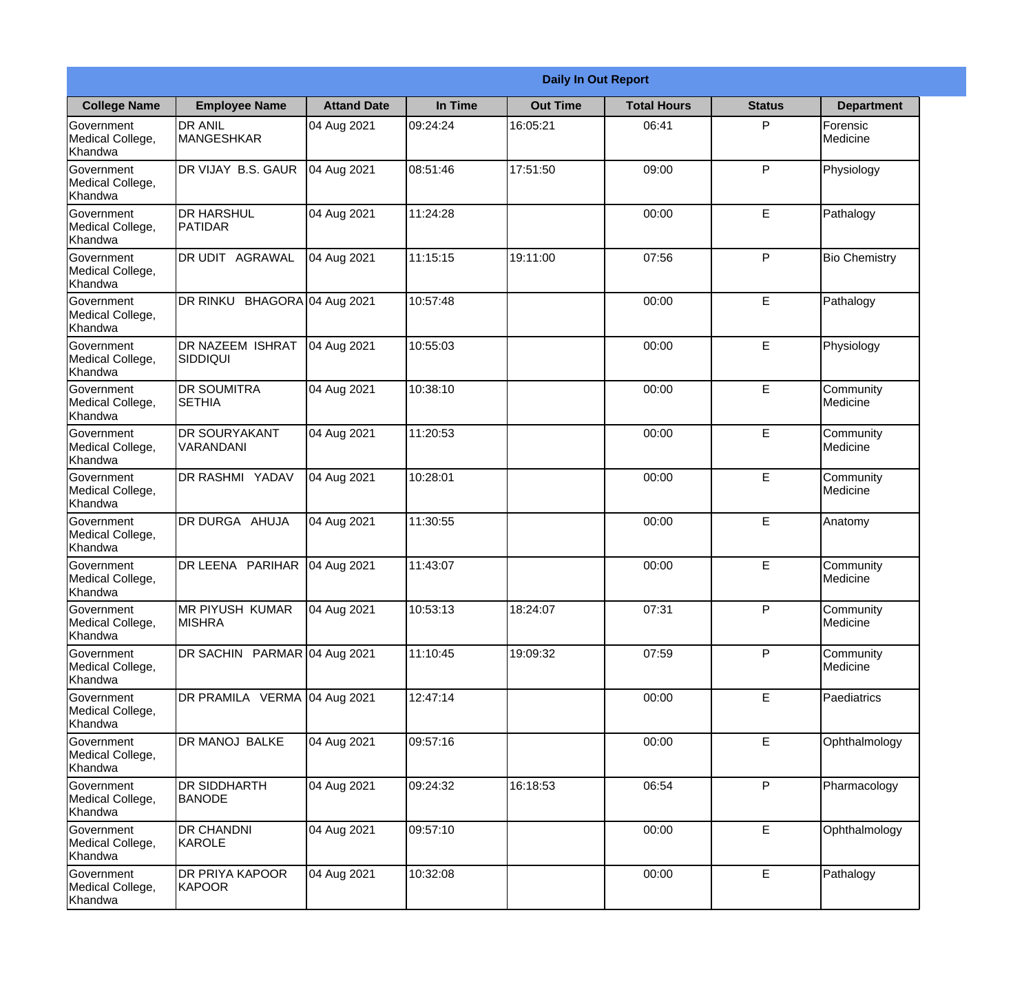|                                                  |                                      |                    |          | <b>Daily In Out Report</b> |                    |               |                             |
|--------------------------------------------------|--------------------------------------|--------------------|----------|----------------------------|--------------------|---------------|-----------------------------|
| <b>College Name</b>                              | <b>Employee Name</b>                 | <b>Attand Date</b> | In Time  | <b>Out Time</b>            | <b>Total Hours</b> | <b>Status</b> | <b>Department</b>           |
| Government<br>Medical College,<br>Khandwa        | <b>DR ANIL</b><br><b>MANGESHKAR</b>  | 04 Aug 2021        | 09:24:24 | 16:05:21                   | 06:41              | P             | Forensic<br><b>Medicine</b> |
| Government<br>Medical College,<br>Khandwa        | DR VIJAY B.S. GAUR                   | 04 Aug 2021        | 08:51:46 | 17:51:50                   | 09:00              | P             | Physiology                  |
| <b>Government</b><br>Medical College,<br>Khandwa | <b>DR HARSHUL</b><br><b>PATIDAR</b>  | 04 Aug 2021        | 11:24:28 |                            | 00:00              | E             | Pathalogy                   |
| Government<br>Medical College,<br>Khandwa        | <b>DR UDIT AGRAWAL</b>               | 04 Aug 2021        | 11:15:15 | 19:11:00                   | 07:56              | P             | <b>Bio Chemistry</b>        |
| Government<br>Medical College,<br>Khandwa        | DR RINKU BHAGORA 04 Aug 2021         |                    | 10:57:48 |                            | 00:00              | E             | Pathalogy                   |
| Government<br>Medical College,<br>Khandwa        | DR NAZEEM ISHRAT<br>SIDDIQUI         | 04 Aug 2021        | 10:55:03 |                            | 00:00              | E             | Physiology                  |
| Government<br>Medical College,<br>Khandwa        | <b>DR SOUMITRA</b><br><b>SETHIA</b>  | 04 Aug 2021        | 10:38:10 |                            | 00:00              | E             | Community<br>Medicine       |
| Government<br>Medical College,<br>Khandwa        | <b>DR SOURYAKANT</b><br>VARANDANI    | 04 Aug 2021        | 11:20:53 |                            | 00:00              | E             | Community<br>Medicine       |
| Government<br>Medical College,<br>Khandwa        | <b>DR RASHMI YADAV</b>               | 04 Aug 2021        | 10:28:01 |                            | 00:00              | E             | Community<br>Medicine       |
| Government<br>Medical College,<br>Khandwa        | DR DURGA AHUJA                       | 04 Aug 2021        | 11:30:55 |                            | 00:00              | E             | Anatomy                     |
| Government<br>Medical College,<br>Khandwa        | DR LEENA PARIHAR                     | 04 Aug 2021        | 11:43:07 |                            | 00:00              | E             | Community<br>Medicine       |
| Government<br>Medical College,<br>Khandwa        | MR PIYUSH KUMAR<br><b>MISHRA</b>     | 04 Aug 2021        | 10:53:13 | 18:24:07                   | 07:31              | P             | Community<br>Medicine       |
| Government<br>Medical College,<br>Khandwa        | DR SACHIN PARMAR 04 Aug 2021         |                    | 11:10:45 | 19:09:32                   | 07:59              | P             | Community<br>Medicine       |
| Government<br>Medical College,<br>Khandwa        | DR PRAMILA VERMA 04 Aug 2021         |                    | 12:47:14 |                            | 00:00              | E             | Paediatrics                 |
| <b>Government</b><br>Medical College,<br>Khandwa | DR MANOJ BALKE                       | 04 Aug 2021        | 09:57:16 |                            | 00:00              | E             | Ophthalmology               |
| Government<br>Medical College,<br>Khandwa        | <b>DR SIDDHARTH</b><br><b>BANODE</b> | 04 Aug 2021        | 09:24:32 | 16:18:53                   | 06:54              | P             | Pharmacology                |
| Government<br>Medical College,<br>Khandwa        | <b>DR CHANDNI</b><br>KAROLE          | 04 Aug 2021        | 09:57:10 |                            | 00:00              | E             | Ophthalmology               |
| Government<br>Medical College,<br>Khandwa        | <b>DR PRIYA KAPOOR</b><br>KAPOOR     | 04 Aug 2021        | 10:32:08 |                            | 00:00              | E             | Pathalogy                   |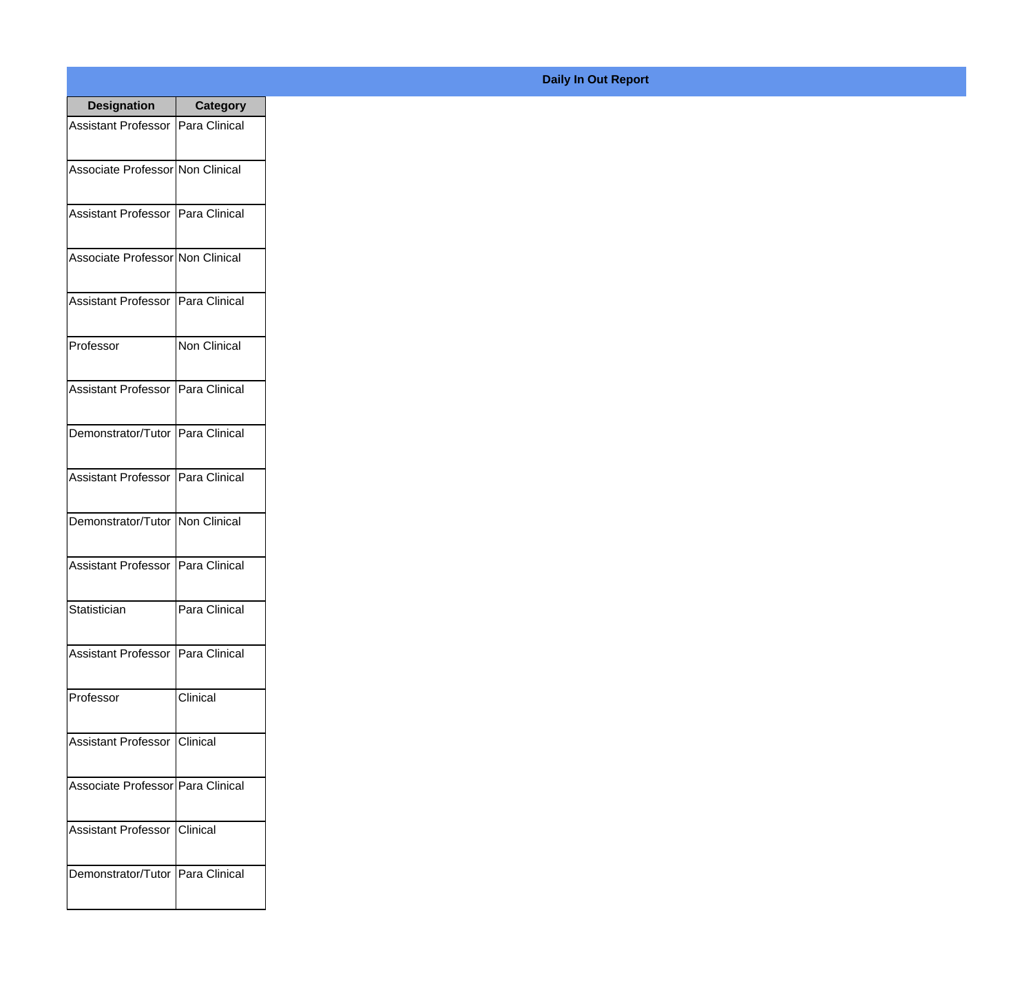| <b>Designation</b>                  | <b>Category</b>     |
|-------------------------------------|---------------------|
| Assistant Professor                 | Para Clinical       |
| Associate Professor Non Clinical    |                     |
| Assistant Professor                 | Para Clinical       |
| Associate Professor Non Clinical    |                     |
| <b>Assistant Professor</b>          | Para Clinical       |
| Professor                           | <b>Non Clinical</b> |
| Assistant Professor                 | Para Clinical       |
| Demonstrator/Tutor   Para Clinical  |                     |
| <b>Assistant Professor</b>          | Para Clinical       |
| Demonstrator/Tutor                  | Non Clinical        |
| <b>Assistant Professor</b>          | Para Clinical       |
| Statistician                        | Para Clinical       |
| Assistant Professor   Para Clinical |                     |
| Professor                           | Clinical            |
| <b>Assistant Professor</b>          | <b>Clinical</b>     |
| Associate Professor Para Clinical   |                     |
| <b>Assistant Professor</b>          | IClinical           |
| Demonstrator/Tutor   Para Clinical  |                     |

## **Daily In Out Report**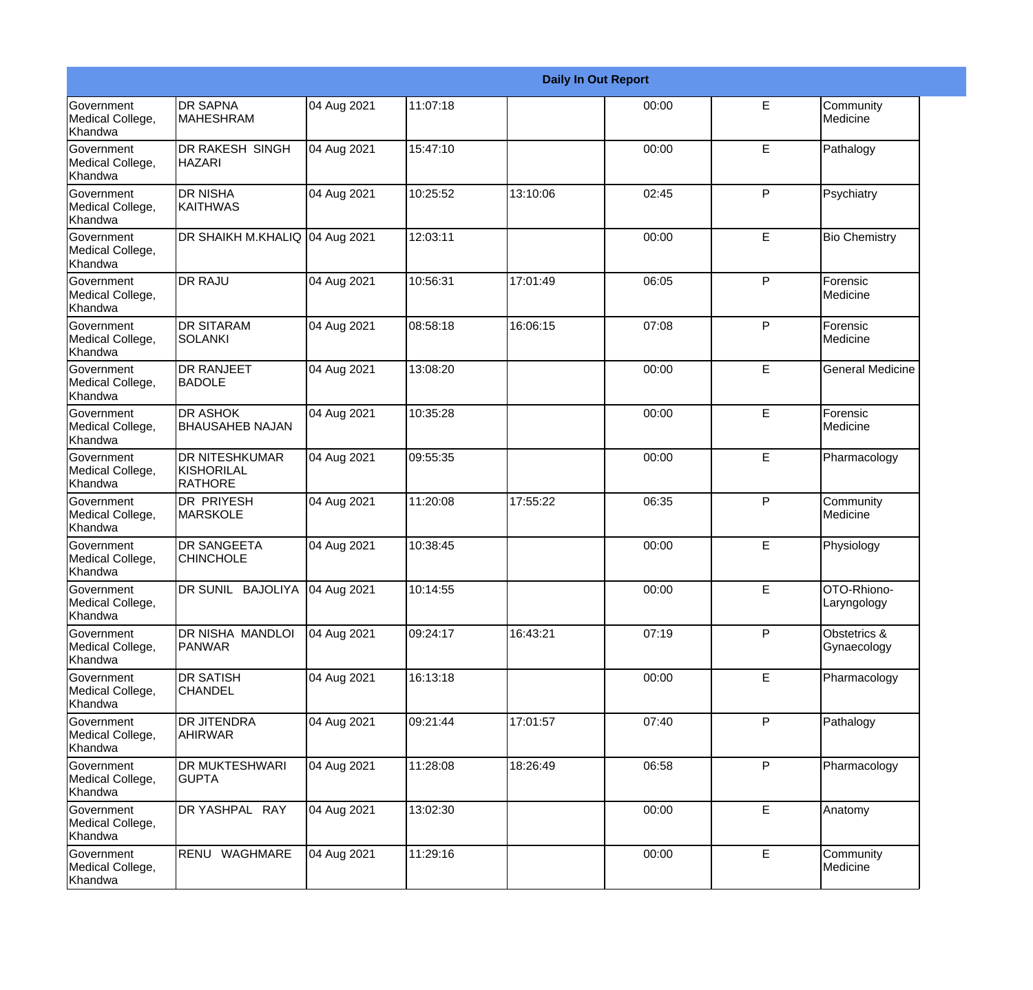|                                                         |                                                |             |          |          | <b>Daily In Out Report</b> |              |                             |
|---------------------------------------------------------|------------------------------------------------|-------------|----------|----------|----------------------------|--------------|-----------------------------|
| Government<br>Medical College,<br>Khandwa               | <b>DR SAPNA</b><br><b>MAHESHRAM</b>            | 04 Aug 2021 | 11:07:18 |          | 00:00                      | E            | Community<br>Medicine       |
| Government<br>Medical College,<br>Khandwa               | DR RAKESH SINGH<br><b>HAZARI</b>               | 04 Aug 2021 | 15:47:10 |          | 00:00                      | E            | Pathalogy                   |
| <b>Government</b><br>Medical College,<br><b>Khandwa</b> | <b>DR NISHA</b><br><b>KAITHWAS</b>             | 04 Aug 2021 | 10:25:52 | 13:10:06 | 02:45                      | P            | Psychiatry                  |
| Government<br>Medical College,<br>Khandwa               | DR SHAIKH M.KHALIQ 04 Aug 2021                 |             | 12:03:11 |          | 00:00                      | E            | <b>Bio Chemistry</b>        |
| Government<br>Medical College,<br>Khandwa               | <b>DR RAJU</b>                                 | 04 Aug 2021 | 10:56:31 | 17:01:49 | 06:05                      | $\mathsf{P}$ | Forensic<br>Medicine        |
| Government<br>Medical College,<br>Khandwa               | <b>DR SITARAM</b><br>SOLANKI                   | 04 Aug 2021 | 08:58:18 | 16:06:15 | 07:08                      | $\mathsf{P}$ | Forensic<br>Medicine        |
| Government<br>Medical College,<br>Khandwa               | <b>DR RANJEET</b><br><b>BADOLE</b>             | 04 Aug 2021 | 13:08:20 |          | 00:00                      | E            | <b>General Medicine</b>     |
| Government<br>Medical College,<br>Khandwa               | DR ASHOK<br><b>BHAUSAHEB NAJAN</b>             | 04 Aug 2021 | 10:35:28 |          | 00:00                      | E            | Forensic<br>Medicine        |
| Government<br>Medical College,<br>Khandwa               | DR NITESHKUMAR<br>KISHORILAL<br><b>RATHORE</b> | 04 Aug 2021 | 09:55:35 |          | 00:00                      | E            | Pharmacology                |
| <b>Government</b><br>Medical College,<br><b>Khandwa</b> | DR PRIYESH<br><b>MARSKOLE</b>                  | 04 Aug 2021 | 11:20:08 | 17:55:22 | 06:35                      | $\mathsf{P}$ | Community<br>Medicine       |
| Government<br>Medical College,<br>Khandwa               | <b>DR SANGEETA</b><br><b>CHINCHOLE</b>         | 04 Aug 2021 | 10:38:45 |          | 00:00                      | E            | Physiology                  |
| Government<br>Medical College,<br>Khandwa               | DR SUNIL BAJOLIYA 04 Aug 2021                  |             | 10:14:55 |          | 00:00                      | E            | OTO-Rhiono-<br>Laryngology  |
| Government<br>Medical College,<br>Khandwa               | DR NISHA MANDLOI<br><b>PANWAR</b>              | 04 Aug 2021 | 09:24:17 | 16:43:21 | 07:19                      | P            | Obstetrics &<br>Gynaecology |
| Government<br>Medical College,<br>Khandwa               | <b>DR SATISH</b><br><b>CHANDEL</b>             | 04 Aug 2021 | 16:13:18 |          | 00:00                      | E            | Pharmacology                |
| Government<br>Medical College,<br>Khandwa               | <b>DR JITENDRA</b><br>AHIRWAR                  | 04 Aug 2021 | 09:21:44 | 17:01:57 | 07:40                      | P            | Pathalogy                   |
| Government<br>Medical College,<br>Khandwa               | DR MUKTESHWARI<br><b>GUPTA</b>                 | 04 Aug 2021 | 11:28:08 | 18:26:49 | 06:58                      | $\mathsf{P}$ | Pharmacology                |
| Government<br>Medical College,<br>Khandwa               | DR YASHPAL RAY                                 | 04 Aug 2021 | 13:02:30 |          | 00:00                      | E            | Anatomy                     |
| Government<br>Medical College,<br>Khandwa               | RENU WAGHMARE                                  | 04 Aug 2021 | 11:29:16 |          | 00:00                      | E            | Community<br>Medicine       |